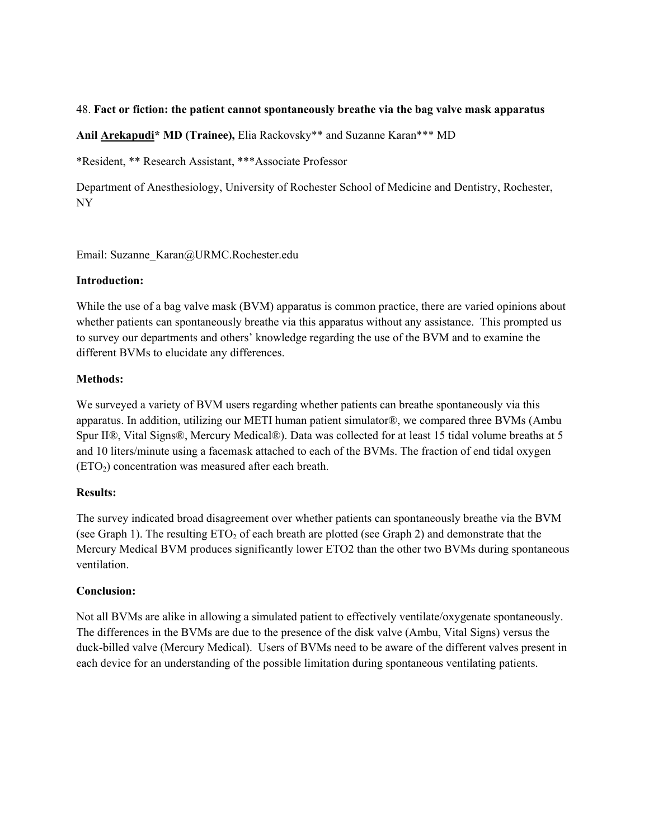### 48. **Fact or fiction: the patient cannot spontaneously breathe via the bag valve mask apparatus**

**Anil Arekapudi\* MD (Trainee),** Elia Rackovsky\*\* and Suzanne Karan\*\*\* MD

\*Resident, \*\* Research Assistant, \*\*\*Associate Professor

Department of Anesthesiology, University of Rochester School of Medicine and Dentistry, Rochester, NY

Email: Suzanne\_Karan@URMC.Rochester.edu

### **Introduction:**

While the use of a bag valve mask (BVM) apparatus is common practice, there are varied opinions about whether patients can spontaneously breathe via this apparatus without any assistance. This prompted us to survey our departments and others' knowledge regarding the use of the BVM and to examine the different BVMs to elucidate any differences.

# **Methods:**

We surveyed a variety of BVM users regarding whether patients can breathe spontaneously via this apparatus. In addition, utilizing our METI human patient simulator®, we compared three BVMs (Ambu Spur II®, Vital Signs®, Mercury Medical®). Data was collected for at least 15 tidal volume breaths at 5 and 10 liters/minute using a facemask attached to each of the BVMs. The fraction of end tidal oxygen (ETO2) concentration was measured after each breath.

# **Results:**

The survey indicated broad disagreement over whether patients can spontaneously breathe via the BVM (see Graph 1). The resulting  $ETO<sub>2</sub>$  of each breath are plotted (see Graph 2) and demonstrate that the Mercury Medical BVM produces significantly lower ETO2 than the other two BVMs during spontaneous ventilation.

# **Conclusion:**

Not all BVMs are alike in allowing a simulated patient to effectively ventilate/oxygenate spontaneously. The differences in the BVMs are due to the presence of the disk valve (Ambu, Vital Signs) versus the duck-billed valve (Mercury Medical). Users of BVMs need to be aware of the different valves present in each device for an understanding of the possible limitation during spontaneous ventilating patients.